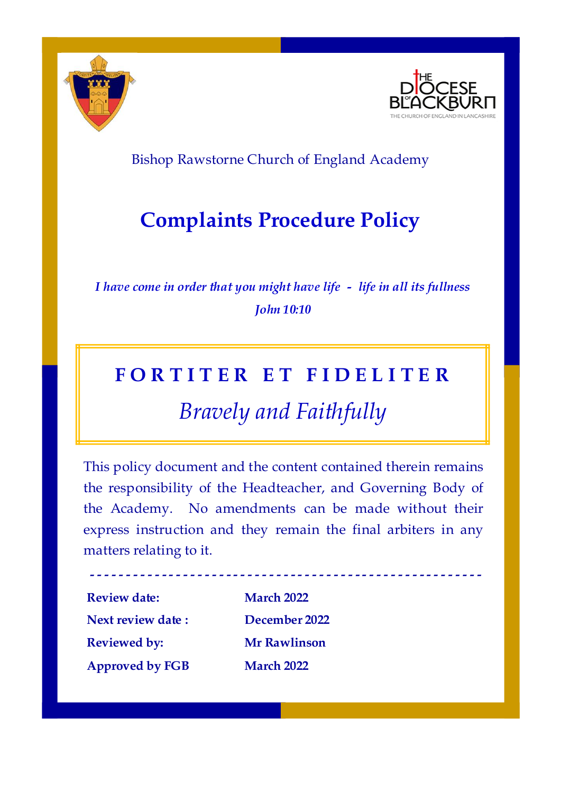



# Bishop Rawstorne Church of England Academy

# **Complaints Procedure Policy**

*I have come in order that you might have life - life in all its fullness John 10:10*

# **F O R T I T E R E T F I D E L I T E R**

# *Bravely and Faithfully*

This policy document and the content contained therein remains the responsibility of the Headteacher, and Governing Body of the Academy. No amendments can be made without their express instruction and they remain the final arbiters in any matters relating to it.

| <b>Review date:</b>    | <b>March 2022</b>   |  |  |  |  |  |
|------------------------|---------------------|--|--|--|--|--|
| Next review date :     | December 2022       |  |  |  |  |  |
| <b>Reviewed by:</b>    | <b>Mr Rawlinson</b> |  |  |  |  |  |
| <b>Approved by FGB</b> | <b>March 2022</b>   |  |  |  |  |  |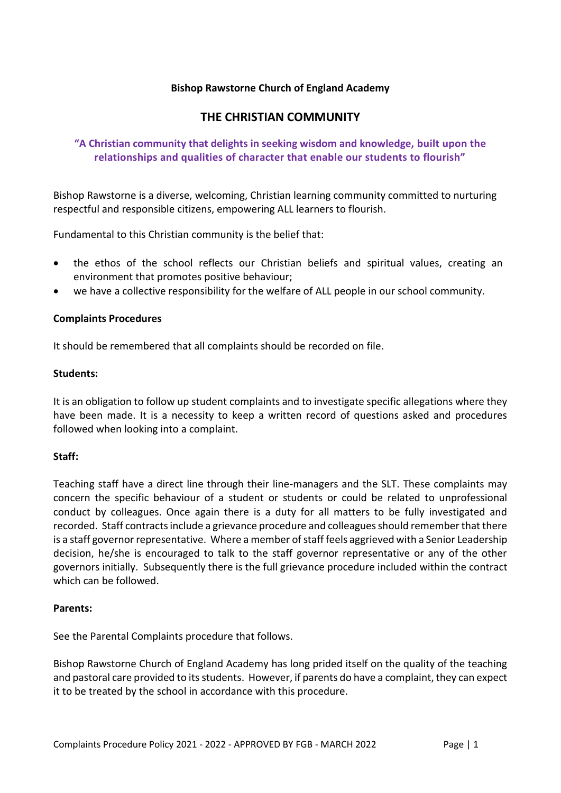#### **Bishop Rawstorne Church of England Academy**

## **THE CHRISTIAN COMMUNITY**

### **"A Christian community that delights in seeking wisdom and knowledge, built upon the relationships and qualities of character that enable our students to flourish"**

Bishop Rawstorne is a diverse, welcoming, Christian learning community committed to nurturing respectful and responsible citizens, empowering ALL learners to flourish.

Fundamental to this Christian community is the belief that:

- the ethos of the school reflects our Christian beliefs and spiritual values, creating an environment that promotes positive behaviour;
- we have a collective responsibility for the welfare of ALL people in our school community.

#### **Complaints Procedures**

It should be remembered that all complaints should be recorded on file.

#### **Students:**

It is an obligation to follow up student complaints and to investigate specific allegations where they have been made. It is a necessity to keep a written record of questions asked and procedures followed when looking into a complaint.

#### **Staff:**

Teaching staff have a direct line through their line-managers and the SLT. These complaints may concern the specific behaviour of a student or students or could be related to unprofessional conduct by colleagues. Once again there is a duty for all matters to be fully investigated and recorded. Staff contracts include a grievance procedure and colleagues should remember that there is a staff governor representative. Where a member of staff feels aggrieved with a Senior Leadership decision, he/she is encouraged to talk to the staff governor representative or any of the other governors initially. Subsequently there is the full grievance procedure included within the contract which can be followed.

#### **Parents:**

See the Parental Complaints procedure that follows.

Bishop Rawstorne Church of England Academy has long prided itself on the quality of the teaching and pastoral care provided to its students. However, if parents do have a complaint, they can expect it to be treated by the school in accordance with this procedure.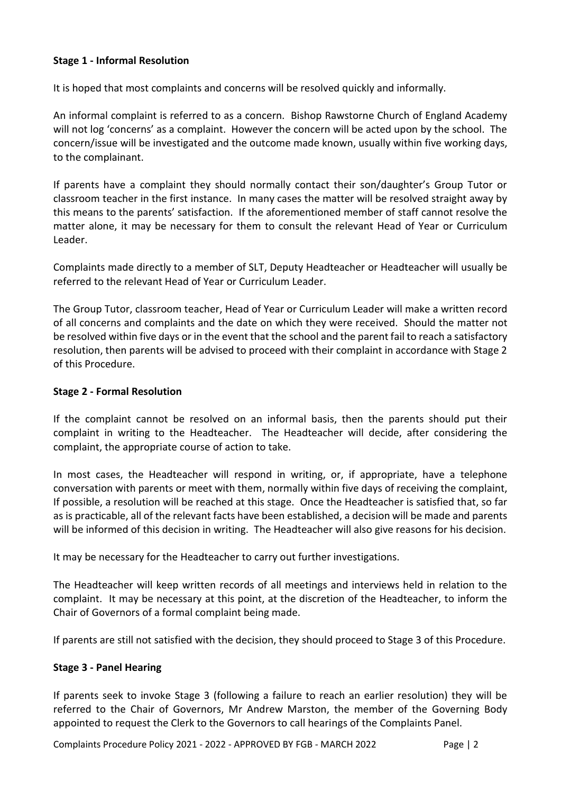#### **Stage 1 - Informal Resolution**

It is hoped that most complaints and concerns will be resolved quickly and informally.

An informal complaint is referred to as a concern. Bishop Rawstorne Church of England Academy will not log 'concerns' as a complaint. However the concern will be acted upon by the school. The concern/issue will be investigated and the outcome made known, usually within five working days, to the complainant.

If parents have a complaint they should normally contact their son/daughter's Group Tutor or classroom teacher in the first instance. In many cases the matter will be resolved straight away by this means to the parents' satisfaction. If the aforementioned member of staff cannot resolve the matter alone, it may be necessary for them to consult the relevant Head of Year or Curriculum Leader.

Complaints made directly to a member of SLT, Deputy Headteacher or Headteacher will usually be referred to the relevant Head of Year or Curriculum Leader.

The Group Tutor, classroom teacher, Head of Year or Curriculum Leader will make a written record of all concerns and complaints and the date on which they were received. Should the matter not be resolved within five days or in the event that the school and the parent fail to reach a satisfactory resolution, then parents will be advised to proceed with their complaint in accordance with Stage 2 of this Procedure.

#### **Stage 2 - Formal Resolution**

If the complaint cannot be resolved on an informal basis, then the parents should put their complaint in writing to the Headteacher. The Headteacher will decide, after considering the complaint, the appropriate course of action to take.

In most cases, the Headteacher will respond in writing, or, if appropriate, have a telephone conversation with parents or meet with them, normally within five days of receiving the complaint, If possible, a resolution will be reached at this stage. Once the Headteacher is satisfied that, so far as is practicable, all of the relevant facts have been established, a decision will be made and parents will be informed of this decision in writing. The Headteacher will also give reasons for his decision.

It may be necessary for the Headteacher to carry out further investigations.

The Headteacher will keep written records of all meetings and interviews held in relation to the complaint. It may be necessary at this point, at the discretion of the Headteacher, to inform the Chair of Governors of a formal complaint being made.

If parents are still not satisfied with the decision, they should proceed to Stage 3 of this Procedure.

#### **Stage 3 - Panel Hearing**

If parents seek to invoke Stage 3 (following a failure to reach an earlier resolution) they will be referred to the Chair of Governors, Mr Andrew Marston, the member of the Governing Body appointed to request the Clerk to the Governors to call hearings of the Complaints Panel.

Complaints Procedure Policy 2021 - 2022 - APPROVED BY FGB - MARCH 2022 Page | 2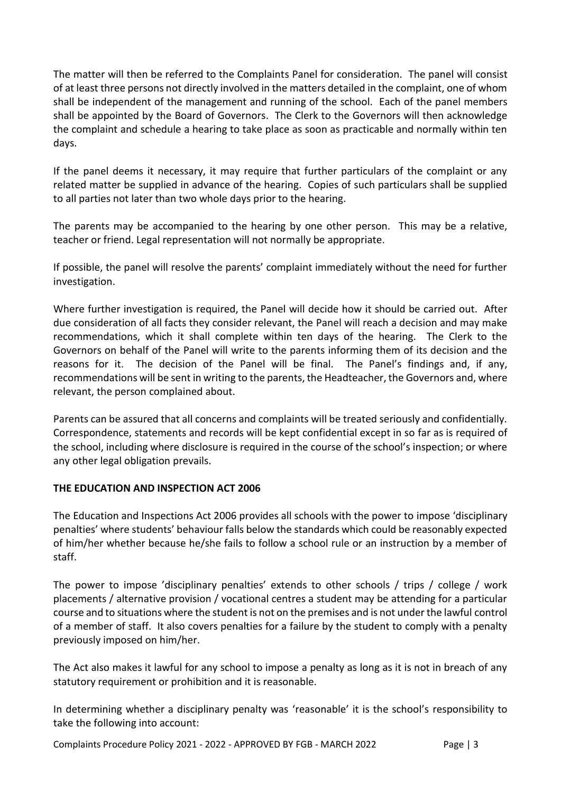The matter will then be referred to the Complaints Panel for consideration. The panel will consist of at least three persons not directly involved in the matters detailed in the complaint, one of whom shall be independent of the management and running of the school. Each of the panel members shall be appointed by the Board of Governors. The Clerk to the Governors will then acknowledge the complaint and schedule a hearing to take place as soon as practicable and normally within ten days.

If the panel deems it necessary, it may require that further particulars of the complaint or any related matter be supplied in advance of the hearing. Copies of such particulars shall be supplied to all parties not later than two whole days prior to the hearing.

The parents may be accompanied to the hearing by one other person. This may be a relative, teacher or friend. Legal representation will not normally be appropriate.

If possible, the panel will resolve the parents' complaint immediately without the need for further investigation.

Where further investigation is required, the Panel will decide how it should be carried out. After due consideration of all facts they consider relevant, the Panel will reach a decision and may make recommendations, which it shall complete within ten days of the hearing. The Clerk to the Governors on behalf of the Panel will write to the parents informing them of its decision and the reasons for it. The decision of the Panel will be final. The Panel's findings and, if any, recommendations will be sent in writing to the parents, the Headteacher, the Governors and, where relevant, the person complained about.

Parents can be assured that all concerns and complaints will be treated seriously and confidentially. Correspondence, statements and records will be kept confidential except in so far as is required of the school, including where disclosure is required in the course of the school's inspection; or where any other legal obligation prevails.

#### **THE EDUCATION AND INSPECTION ACT 2006**

The Education and Inspections Act 2006 provides all schools with the power to impose 'disciplinary penalties' where students' behaviour falls below the standards which could be reasonably expected of him/her whether because he/she fails to follow a school rule or an instruction by a member of staff.

The power to impose 'disciplinary penalties' extends to other schools / trips / college / work placements / alternative provision / vocational centres a student may be attending for a particular course and to situations where the student is not on the premises and is not under the lawful control of a member of staff. It also covers penalties for a failure by the student to comply with a penalty previously imposed on him/her.

The Act also makes it lawful for any school to impose a penalty as long as it is not in breach of any statutory requirement or prohibition and it is reasonable.

In determining whether a disciplinary penalty was 'reasonable' it is the school's responsibility to take the following into account: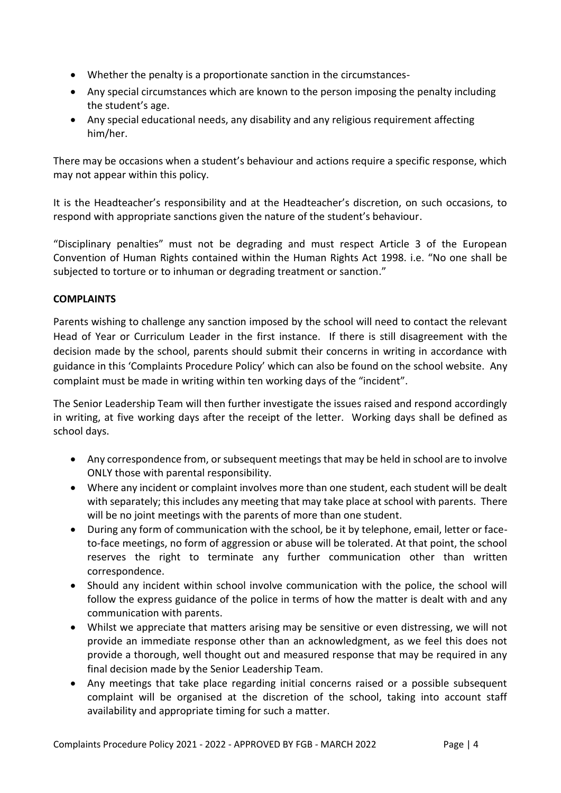- Whether the penalty is a proportionate sanction in the circumstances-
- Any special circumstances which are known to the person imposing the penalty including the student's age.
- Any special educational needs, any disability and any religious requirement affecting him/her.

There may be occasions when a student's behaviour and actions require a specific response, which may not appear within this policy.

It is the Headteacher's responsibility and at the Headteacher's discretion, on such occasions, to respond with appropriate sanctions given the nature of the student's behaviour.

"Disciplinary penalties" must not be degrading and must respect Article 3 of the European Convention of Human Rights contained within the Human Rights Act 1998. i.e. "No one shall be subjected to torture or to inhuman or degrading treatment or sanction."

### **COMPLAINTS**

Parents wishing to challenge any sanction imposed by the school will need to contact the relevant Head of Year or Curriculum Leader in the first instance. If there is still disagreement with the decision made by the school, parents should submit their concerns in writing in accordance with guidance in this 'Complaints Procedure Policy' which can also be found on the school website. Any complaint must be made in writing within ten working days of the "incident".

The Senior Leadership Team will then further investigate the issues raised and respond accordingly in writing, at five working days after the receipt of the letter. Working days shall be defined as school days.

- Any correspondence from, or subsequent meetings that may be held in school are to involve ONLY those with parental responsibility.
- Where any incident or complaint involves more than one student, each student will be dealt with separately; this includes any meeting that may take place at school with parents. There will be no joint meetings with the parents of more than one student.
- During any form of communication with the school, be it by telephone, email, letter or faceto-face meetings, no form of aggression or abuse will be tolerated. At that point, the school reserves the right to terminate any further communication other than written correspondence.
- Should any incident within school involve communication with the police, the school will follow the express guidance of the police in terms of how the matter is dealt with and any communication with parents.
- Whilst we appreciate that matters arising may be sensitive or even distressing, we will not provide an immediate response other than an acknowledgment, as we feel this does not provide a thorough, well thought out and measured response that may be required in any final decision made by the Senior Leadership Team.
- Any meetings that take place regarding initial concerns raised or a possible subsequent complaint will be organised at the discretion of the school, taking into account staff availability and appropriate timing for such a matter.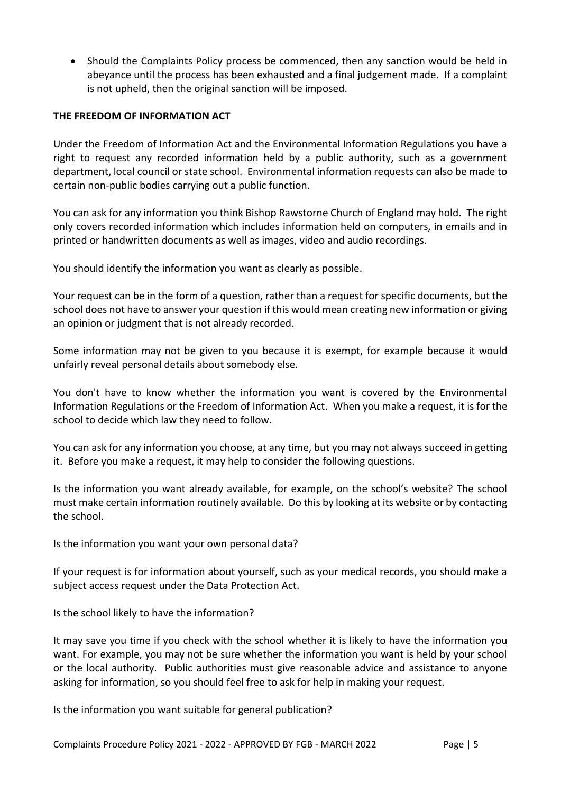• Should the Complaints Policy process be commenced, then any sanction would be held in abeyance until the process has been exhausted and a final judgement made. If a complaint is not upheld, then the original sanction will be imposed.

#### **THE FREEDOM OF INFORMATION ACT**

Under the Freedom of Information Act and the Environmental Information Regulations you have a right to request any recorded information held by a public authority, such as a government department, local council or state school. Environmental information requests can also be made to certain non-public bodies carrying out a public function.

You can ask for any information you think Bishop Rawstorne Church of England may hold. The right only covers recorded information which includes information held on computers, in emails and in printed or handwritten documents as well as images, video and audio recordings.

You should identify the information you want as clearly as possible.

Your request can be in the form of a question, rather than a request for specific documents, but the school does not have to answer your question if this would mean creating new information or giving an opinion or judgment that is not already recorded.

Some information may not be given to you because it is exempt, for example because it would unfairly reveal personal details about somebody else.

You don't have to know whether the information you want is covered by the Environmental Information Regulations or the Freedom of Information Act. When you make a request, it is for the school to decide which law they need to follow.

You can ask for any information you choose, at any time, but you may not always succeed in getting it. Before you make a request, it may help to consider the following questions.

Is the information you want already available, for example, on the school's website? The school must make certain information routinely available. Do this by looking at its website or by contacting the school.

Is the information you want your own personal data?

If your request is for information about yourself, such as your medical records, you should make a subject access request under the Data Protection Act.

Is the school likely to have the information?

It may save you time if you check with the school whether it is likely to have the information you want. For example, you may not be sure whether the information you want is held by your school or the local authority. Public authorities must give reasonable advice and assistance to anyone asking for information, so you should feel free to ask for help in making your request.

Is the information you want suitable for general publication?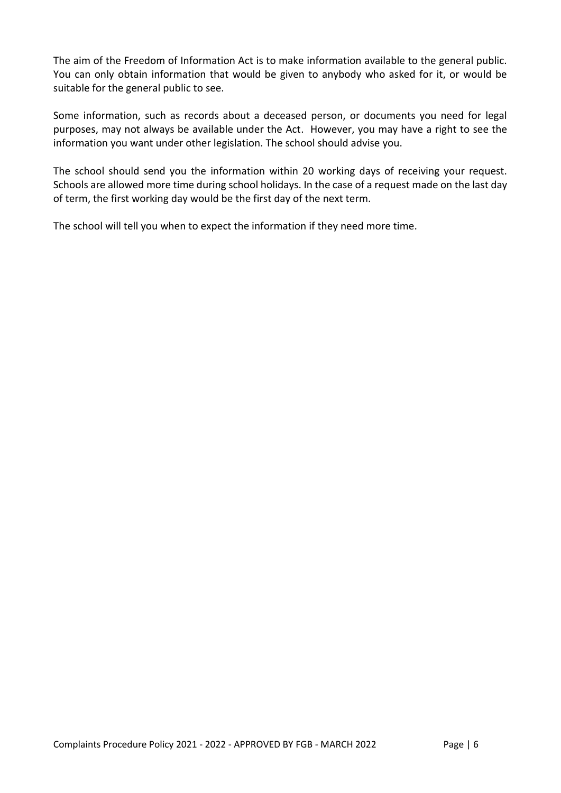The aim of the Freedom of Information Act is to make information available to the general public. You can only obtain information that would be given to anybody who asked for it, or would be suitable for the general public to see.

Some information, such as records about a deceased person, or documents you need for legal purposes, may not always be available under the Act. However, you may have a right to see the information you want under other legislation. The school should advise you.

The school should send you the information within 20 working days of receiving your request. Schools are allowed more time during school holidays. In the case of a request made on the last day of term, the first working day would be the first day of the next term.

The school will tell you when to expect the information if they need more time.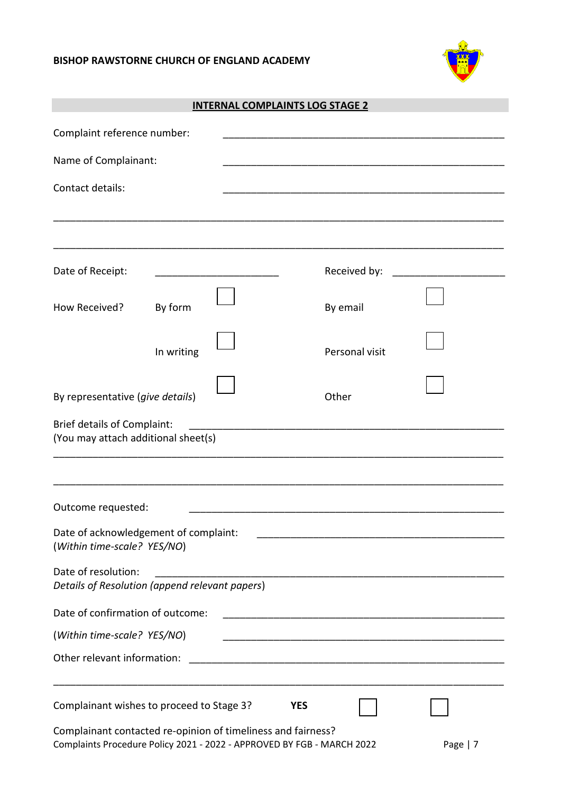#### **BISHOP RAWSTORNE CHURCH OF ENGLAND ACADEMY**



## **INTERNAL COMPLAINTS LOG STAGE 2**

| Complaint reference number:                                                                                                            |            |  |            |                                                                      |          |  |  |
|----------------------------------------------------------------------------------------------------------------------------------------|------------|--|------------|----------------------------------------------------------------------|----------|--|--|
| Name of Complainant:                                                                                                                   |            |  |            |                                                                      |          |  |  |
| Contact details:                                                                                                                       |            |  |            |                                                                      |          |  |  |
|                                                                                                                                        |            |  |            |                                                                      |          |  |  |
| Date of Receipt:                                                                                                                       |            |  |            | Received by:                                                         |          |  |  |
| How Received?                                                                                                                          | By form    |  |            | By email                                                             |          |  |  |
|                                                                                                                                        | In writing |  |            | Personal visit                                                       |          |  |  |
| By representative (give details)                                                                                                       |            |  |            | Other                                                                |          |  |  |
| <b>Brief details of Complaint:</b><br>(You may attach additional sheet(s)                                                              |            |  |            |                                                                      |          |  |  |
| Outcome requested:                                                                                                                     |            |  |            |                                                                      |          |  |  |
| Date of acknowledgement of complaint:<br>(Within time-scale? YES/NO)                                                                   |            |  |            |                                                                      |          |  |  |
| Date of resolution:<br>Details of Resolution (append relevant papers)                                                                  |            |  |            |                                                                      |          |  |  |
| Date of confirmation of outcome:                                                                                                       |            |  |            |                                                                      |          |  |  |
| (Within time-scale? YES/NO)                                                                                                            |            |  |            | <u> 1980 - Johann Barn, mars an t-Amerikaansk politiker (* 1908)</u> |          |  |  |
| Other relevant information:                                                                                                            |            |  |            |                                                                      |          |  |  |
| Complainant wishes to proceed to Stage 3?                                                                                              |            |  | <b>YES</b> |                                                                      |          |  |  |
| Complainant contacted re-opinion of timeliness and fairness?<br>Complaints Procedure Policy 2021 - 2022 - APPROVED BY FGB - MARCH 2022 |            |  |            |                                                                      | Page   7 |  |  |